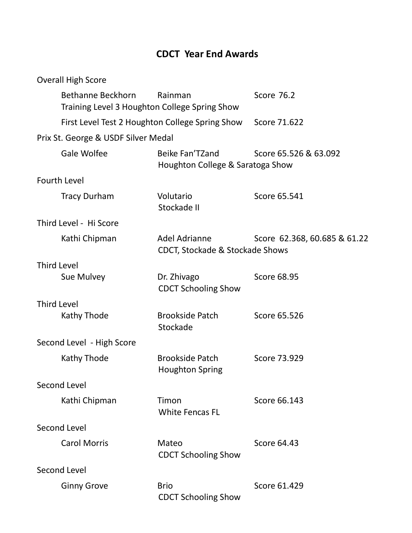## CDCT Year End Awards

| <b>Overall High Score</b> |                                     |                                                             |                              |  |  |
|---------------------------|-------------------------------------|-------------------------------------------------------------|------------------------------|--|--|
|                           | <b>Bethanne Beckhorn</b>            | Rainman<br>Training Level 3 Houghton College Spring Show    | <b>Score 76.2</b>            |  |  |
|                           |                                     | First Level Test 2 Houghton College Spring Show             | Score 71.622                 |  |  |
|                           | Prix St. George & USDF Silver Medal |                                                             |                              |  |  |
| Gale Wolfee               |                                     | Beike Fan'TZand<br>Houghton College & Saratoga Show         | Score 65.526 & 63.092        |  |  |
| <b>Fourth Level</b>       |                                     |                                                             |                              |  |  |
| <b>Tracy Durham</b>       |                                     | Volutario<br>Stockade II                                    | Score 65.541                 |  |  |
| Third Level - Hi Score    |                                     |                                                             |                              |  |  |
| Kathi Chipman             |                                     | Adel Adrianne<br><b>CDCT, Stockade &amp; Stockade Shows</b> | Score 62.368, 60.685 & 61.22 |  |  |
| <b>Third Level</b>        |                                     |                                                             |                              |  |  |
| Sue Mulvey                |                                     | Dr. Zhivago<br><b>CDCT Schooling Show</b>                   | <b>Score 68.95</b>           |  |  |
| <b>Third Level</b>        |                                     |                                                             |                              |  |  |
| Kathy Thode               |                                     | <b>Brookside Patch</b><br>Stockade                          | Score 65.526                 |  |  |
| Second Level - High Score |                                     |                                                             |                              |  |  |
| Kathy Thode               |                                     | <b>Brookside Patch</b><br><b>Houghton Spring</b>            | Score 73.929                 |  |  |
| Second Level              |                                     |                                                             |                              |  |  |
| Kathi Chipman             |                                     | Timon<br><b>White Fencas FL</b>                             | Score 66.143                 |  |  |
| Second Level              |                                     |                                                             |                              |  |  |
| <b>Carol Morris</b>       |                                     | Mateo<br><b>CDCT Schooling Show</b>                         | Score 64.43                  |  |  |
| Second Level              |                                     |                                                             |                              |  |  |
| <b>Ginny Grove</b>        |                                     | <b>Brio</b><br><b>CDCT Schooling Show</b>                   | Score 61.429                 |  |  |